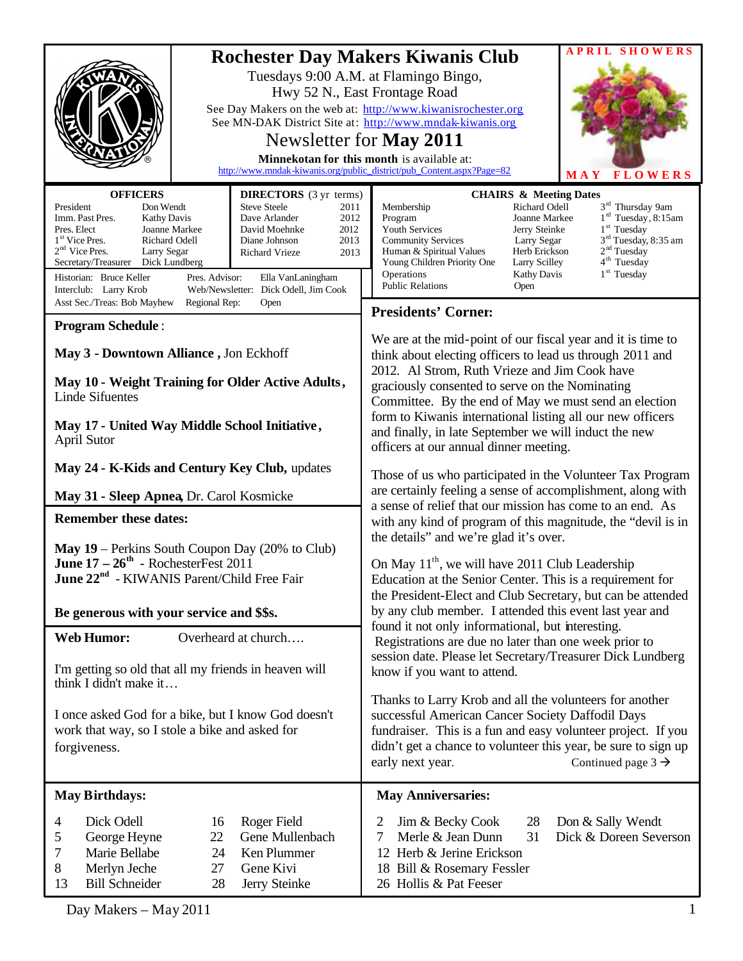|                                                                                                                                                                                                                                                                                                                                                                                                                                                                                                                                                         |                                                                             | <b>SHOWERS</b><br>A P R I L                                                                                                                                                                                                                                                                                                                                                                                                                                                                                                                           |
|---------------------------------------------------------------------------------------------------------------------------------------------------------------------------------------------------------------------------------------------------------------------------------------------------------------------------------------------------------------------------------------------------------------------------------------------------------------------------------------------------------------------------------------------------------|-----------------------------------------------------------------------------|-------------------------------------------------------------------------------------------------------------------------------------------------------------------------------------------------------------------------------------------------------------------------------------------------------------------------------------------------------------------------------------------------------------------------------------------------------------------------------------------------------------------------------------------------------|
|                                                                                                                                                                                                                                                                                                                                                                                                                                                                                                                                                         |                                                                             | <b>Rochester Day Makers Kiwanis Club</b><br>Tuesdays 9:00 A.M. at Flamingo Bingo,<br>Hwy 52 N., East Frontage Road<br>See Day Makers on the web at: http://www.kiwanisrochester.org<br>See MN-DAK District Site at: http://www.mndak-kiwanis.org<br>Newsletter for May 2011<br>Minnekotan for this month is available at:<br>http://www.mndak-kiwanis.org/public_district/pub_Content.aspx?Page=82<br><b>FLOWERS</b><br><b>MAY</b>                                                                                                                    |
| <b>OFFICERS</b><br><b>DIRECTORS</b> (3 yr terms)<br>Don Wendt<br><b>Steve Steele</b><br>President<br>2011<br>Imm. Past Pres.<br>Dave Arlander<br>2012<br><b>Kathy Davis</b><br>Pres. Elect<br>Joanne Markee<br>David Moehnke<br>2012<br>1 <sup>st</sup> Vice Pres.<br>Richard Odell<br>2013<br>Diane Johnson<br>$2nd$ Vice Pres.<br>Larry Segar<br>Richard Vrieze<br>2013<br>Secretary/Treasurer<br>Dick Lundberg<br>Historian: Bruce Keller<br>Pres. Advisor:<br>Ella VanLaningham<br>Web/Newsletter:<br>Dick Odell, Jim Cook<br>Interclub: Larry Krob |                                                                             | <b>CHAIRS &amp; Meeting Dates</b><br>3 <sup>rd</sup> Thursday 9am<br>Richard Odell<br>Membership<br>$1rd$ Tuesday, 8:15am<br>Joanne Markee<br>Program<br>$1st$ Tuesday<br>Youth Services<br>Jerry Steinke<br>3 <sup>rd</sup> Tuesday, 8:35 am<br><b>Community Services</b><br>Larry Segar<br>2 <sup>nd</sup> Tuesday<br>Herb Erickson<br>Human & Spiritual Values<br>4 <sup>th</sup> Tuesday<br>Young Children Priority One<br>Larry Scilley<br>1 <sup>st</sup> Tuesday<br>Operations<br><b>Kathy Davis</b><br><b>Public Relations</b><br>Open        |
| Asst Sec./Treas: Bob Mayhew<br>Regional Rep:<br>Open                                                                                                                                                                                                                                                                                                                                                                                                                                                                                                    |                                                                             | <b>Presidents' Corner:</b>                                                                                                                                                                                                                                                                                                                                                                                                                                                                                                                            |
| <b>Program Schedule:</b><br>May 3 - Downtown Alliance, Jon Eckhoff<br>May 10 - Weight Training for Older Active Adults,<br><b>Linde Sifuentes</b><br>May 17 - United Way Middle School Initiative,                                                                                                                                                                                                                                                                                                                                                      |                                                                             | We are at the mid-point of our fiscal year and it is time to<br>think about electing officers to lead us through 2011 and<br>2012. Al Strom, Ruth Vrieze and Jim Cook have<br>graciously consented to serve on the Nominating<br>Committee. By the end of May we must send an election<br>form to Kiwanis international listing all our new officers<br>and finally, in late September we will induct the new                                                                                                                                         |
| April Sutor                                                                                                                                                                                                                                                                                                                                                                                                                                                                                                                                             |                                                                             | officers at our annual dinner meeting.                                                                                                                                                                                                                                                                                                                                                                                                                                                                                                                |
| May 24 - K-Kids and Century Key Club, updates                                                                                                                                                                                                                                                                                                                                                                                                                                                                                                           |                                                                             | Those of us who participated in the Volunteer Tax Program<br>are certainly feeling a sense of accomplishment, along with<br>a sense of relief that our mission has come to an end. As<br>with any kind of program of this magnitude, the "devil is in<br>the details" and we're glad it's over.<br>On May 11 <sup>th</sup> , we will have 2011 Club Leadership<br>Education at the Senior Center. This is a requirement for<br>the President-Elect and Club Secretary, but can be attended<br>by any club member. I attended this event last year and |
| May 31 - Sleep Apnea, Dr. Carol Kosmicke                                                                                                                                                                                                                                                                                                                                                                                                                                                                                                                |                                                                             |                                                                                                                                                                                                                                                                                                                                                                                                                                                                                                                                                       |
| <b>Remember these dates:</b>                                                                                                                                                                                                                                                                                                                                                                                                                                                                                                                            |                                                                             |                                                                                                                                                                                                                                                                                                                                                                                                                                                                                                                                                       |
| <b>May 19</b> – Perkins South Coupon Day $(20\% \text{ to Club})$<br>June $17 - 26$ <sup>th</sup> - RochesterFest 2011<br>June 22 <sup>nd</sup> - KIWANIS Parent/Child Free Fair<br>Be generous with your service and \$\$s.                                                                                                                                                                                                                                                                                                                            |                                                                             |                                                                                                                                                                                                                                                                                                                                                                                                                                                                                                                                                       |
| <b>Web Humor:</b><br>Overheard at church                                                                                                                                                                                                                                                                                                                                                                                                                                                                                                                |                                                                             | found it not only informational, but interesting.                                                                                                                                                                                                                                                                                                                                                                                                                                                                                                     |
| I'm getting so old that all my friends in heaven will<br>think I didn't make it<br>I once asked God for a bike, but I know God doesn't<br>work that way, so I stole a bike and asked for<br>forgiveness.                                                                                                                                                                                                                                                                                                                                                |                                                                             | Registrations are due no later than one week prior to<br>session date. Please let Secretary/Treasurer Dick Lundberg<br>know if you want to attend.<br>Thanks to Larry Krob and all the volunteers for another<br>successful American Cancer Society Daffodil Days<br>fundraiser. This is a fun and easy volunteer project. If you<br>didn't get a chance to volunteer this year, be sure to sign up<br>early next year.<br>Continued page $3 \rightarrow$                                                                                             |
| <b>May Birthdays:</b>                                                                                                                                                                                                                                                                                                                                                                                                                                                                                                                                   |                                                                             | <b>May Anniversaries:</b>                                                                                                                                                                                                                                                                                                                                                                                                                                                                                                                             |
| Dick Odell<br>4<br>16<br>5<br>22<br>George Heyne<br>7<br>Marie Bellabe<br>24<br>8<br>Merlyn Jeche<br>27<br>13<br><b>Bill Schneider</b><br>28                                                                                                                                                                                                                                                                                                                                                                                                            | Roger Field<br>Gene Mullenbach<br>Ken Plummer<br>Gene Kivi<br>Jerry Steinke | 28<br>Don & Sally Wendt<br>2<br>Jim & Becky Cook<br>31<br>7<br>Merle & Jean Dunn<br>Dick & Doreen Severson<br>12 Herb & Jerine Erickson<br>18 Bill & Rosemary Fessler<br>26 Hollis & Pat Feeser                                                                                                                                                                                                                                                                                                                                                       |

Day Makers – May 2011 1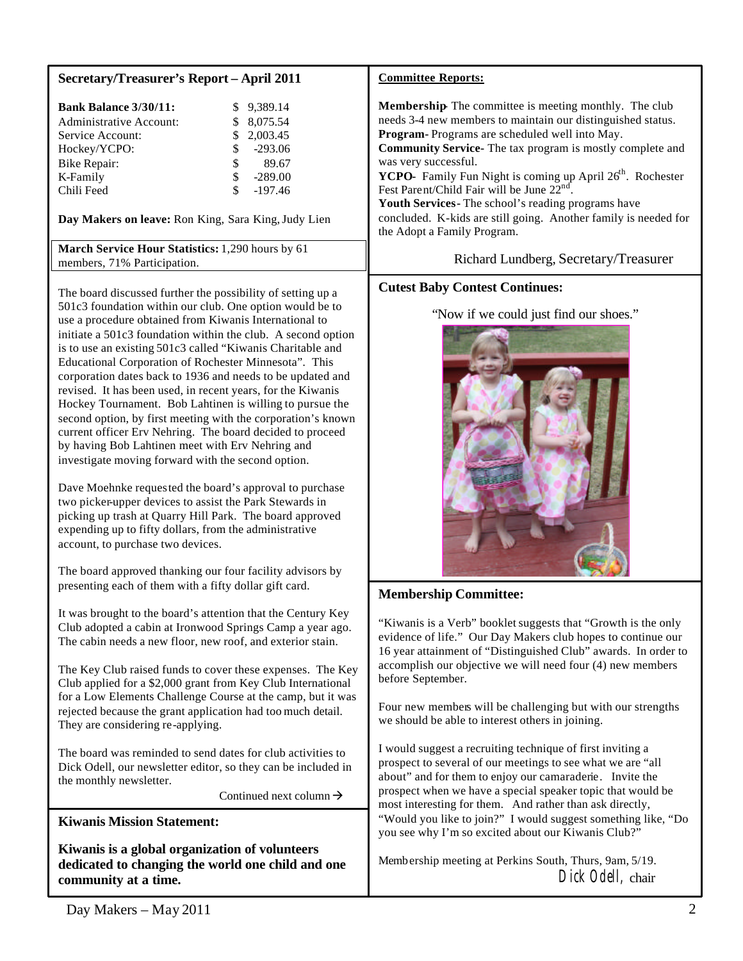| <b>Secretary/Treasurer's Report - April 2011</b>                                       |                           | <b>Committee Reports:</b>                                                                                                                             |
|----------------------------------------------------------------------------------------|---------------------------|-------------------------------------------------------------------------------------------------------------------------------------------------------|
| <b>Bank Balance 3/30/11:</b><br>Administrative Account:                                | \$9,389.14<br>\$ 8,075.54 | <b>Membership</b> The committee is meeting monthly. The club<br>needs 3-4 new members to maintain our distinguished status.                           |
| Service Account:                                                                       | 2,003.45                  | <b>Program-</b> Programs are scheduled well into May.                                                                                                 |
| Hockey/YCPO:                                                                           | $-293.06$                 | <b>Community Service-</b> The tax program is mostly complete and                                                                                      |
| Bike Repair:                                                                           | 89.67                     | was very successful.                                                                                                                                  |
| K-Family                                                                               | $-289.00$                 | YCPO- Family Fun Night is coming up April 26 <sup>th</sup> . Rochester                                                                                |
| Chili Feed                                                                             | $-197.46$                 | Fest Parent/Child Fair will be June 22 <sup>nd</sup> .                                                                                                |
| Day Makers on leave: Ron King, Sara King, Judy Lien                                    |                           | Youth Services - The school's reading programs have<br>concluded. K-kids are still going. Another family is needed for<br>the Adopt a Family Program. |
| <b>March Service Hour Statistics:</b> 1,290 hours by 61<br>members, 71% Participation. |                           | Richard Lundberg, Secretary/Treasurer                                                                                                                 |
| The board discussed further the possibility of setting up a                            |                           | <b>Cutest Baby Contest Continues:</b>                                                                                                                 |

The board discussed further the possibility of setting up a 501c3 foundation within our club. One option would be to use a procedure obtained from Kiwanis International to initiate a 501c3 foundation within the club. A second option is to use an existing 501c3 called "Kiwanis Charitable and Educational Corporation of Rochester Minnesota". This corporation dates back to 1936 and needs to be updated and revised. It has been used, in recent years, for the Kiwanis Hockey Tournament. Bob Lahtinen is willing to pursue the second option, by first meeting with the corporation's known current officer Erv Nehring. The board decided to proceed by having Bob Lahtinen meet with Erv Nehring and investigate moving forward with the second option.

Dave Moehnke requested the board's approval to purchase two picker-upper devices to assist the Park Stewards in picking up trash at Quarry Hill Park. The board approved expending up to fifty dollars, from the administrative account, to purchase two devices.

The board approved thanking our four facility advisors by presenting each of them with a fifty dollar gift card.

It was brought to the board's attention that the Century Key Club adopted a cabin at Ironwood Springs Camp a year ago. The cabin needs a new floor, new roof, and exterior stain.

The Key Club raised funds to cover these expenses. The Key Club applied for a \$2,000 grant from Key Club International for a Low Elements Challenge Course at the camp, but it was rejected because the grant application had too much detail. They are considering re-applying.

The board was reminded to send dates for club activities to Dick Odell, our newsletter editor, so they can be included in the monthly newsletter.

Continued next column  $\rightarrow$ 

**Kiwanis Mission Statement:**

**Kiwanis is a global organization of volunteers dedicated to changing the world one child and one community at a time.**

# "Now if we could just find our shoes."

# **Membership Committee:**

"Kiwanis is a Verb" booklet suggests that "Growth is the only evidence of life." Our Day Makers club hopes to continue our 16 year attainment of "Distinguished Club" awards. In order to accomplish our objective we will need four (4) new members before September.

Four new members will be challenging but with our strengths we should be able to interest others in joining.

I would suggest a recruiting technique of first inviting a prospect to several of our meetings to see what we are "all about" and for them to enjoy our camaraderie. Invite the prospect when we have a special speaker topic that would be most interesting for them. And rather than ask directly, "Would you like to join?" I would suggest something like, "Do you see why I'm so excited about our Kiwanis Club?"

Membership meeting at Perkins South, Thurs, 9am, 5/19. Dick Odell, chair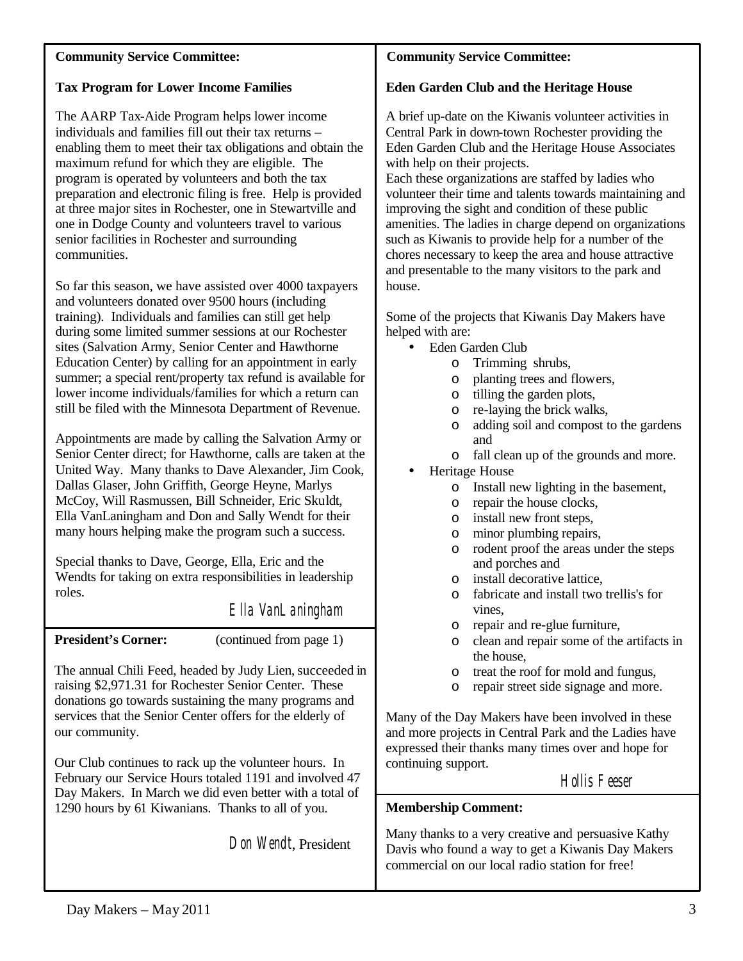## **Community Service Committee:**

# **Tax Program for Lower Income Families**

The AARP Tax-Aide Program helps lower income individuals and families fill out their tax returns – enabling them to meet their tax obligations and obtain the maximum refund for which they are eligible. The program is operated by volunteers and both the tax preparation and electronic filing is free. Help is provided at three major sites in Rochester, one in Stewartville and one in Dodge County and volunteers travel to various senior facilities in Rochester and surrounding communities.

So far this season, we have assisted over 4000 taxpayers and volunteers donated over 9500 hours (including training). Individuals and families can still get help during some limited summer sessions at our Rochester sites (Salvation Army, Senior Center and Hawthorne Education Center) by calling for an appointment in early summer; a special rent/property tax refund is available for lower income individuals/families for which a return can still be filed with the Minnesota Department of Revenue.

Appointments are made by calling the Salvation Army or Senior Center direct; for Hawthorne, calls are taken at the United Way. Many thanks to Dave Alexander, Jim Cook, Dallas Glaser, John Griffith, George Heyne, Marlys McCoy, Will Rasmussen, Bill Schneider, Eric Skuldt, Ella VanLaningham and Don and Sally Wendt for their many hours helping make the program such a success.

Special thanks to Dave, George, Ella, Eric and the Wendts for taking on extra responsibilities in leadership roles.

Ella VanLaningham

**President's Corner:** (continued from page 1)

The annual Chili Feed, headed by Judy Lien, succeeded in raising \$2,971.31 for Rochester Senior Center. These donations go towards sustaining the many programs and services that the Senior Center offers for the elderly of our community.

Our Club continues to rack up the volunteer hours. In February our Service Hours totaled 1191 and involved 47 Day Makers. In March we did even better with a total of 1290 hours by 61 Kiwanians. Thanks to all of you.

Don Wendt, President

# **Community Service Committee:**

# **Eden Garden Club and the Heritage House**

A brief up-date on the Kiwanis volunteer activities in Central Park in down-town Rochester providing the Eden Garden Club and the Heritage House Associates with help on their projects.

Each these organizations are staffed by ladies who volunteer their time and talents towards maintaining and improving the sight and condition of these public amenities. The ladies in charge depend on organizations such as Kiwanis to provide help for a number of the chores necessary to keep the area and house attractive and presentable to the many visitors to the park and house.

Some of the projects that Kiwanis Day Makers have helped with are:

- Eden Garden Club
	- o Trimming shrubs,
	- o planting trees and flowers,
	- o tilling the garden plots,
	- o re-laying the brick walks,
	- o adding soil and compost to the gardens and
	- o fall clean up of the grounds and more.
- Heritage House
	- o Install new lighting in the basement,
	- o repair the house clocks,
	- o install new front steps,
	- o minor plumbing repairs,
	- o rodent proof the areas under the steps and porches and
	- o install decorative lattice,
	- o fabricate and install two trellis's for vines,
	- o repair and re-glue furniture,
	- o clean and repair some of the artifacts in the house,
	- o treat the roof for mold and fungus,
	- o repair street side signage and more.

Many of the Day Makers have been involved in these and more projects in Central Park and the Ladies have expressed their thanks many times over and hope for continuing support.

# Hollis Feeser

# **Membership Comment:**

Many thanks to a very creative and persuasive Kathy Davis who found a way to get a Kiwanis Day Makers commercial on our local radio station for free!